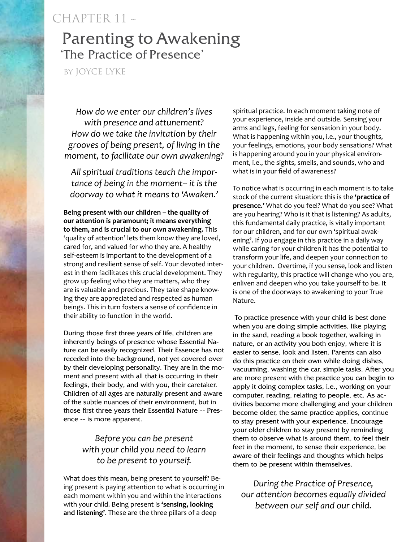## CHAPTER 11  $\sim$

# Parenting to Awakening 'The Practice of Presence'

by JOYCE LYKE

*How do we enter our children's lives with presence and attunement? How do we take the invitation by their grooves of being present, of living in the moment, to facilitate our own awakening?*

*All spiritual traditions teach the importance of being in the moment-- it is the doorway to what it means to 'Awaken.'*

**Being present with our children – the quality of our attention is paramount; it means everything to them, and is crucial to our own awakening.** This 'quality of attention' lets them know they are loved, cared for, and valued for who they are. A healthy self-esteem is important to the development of a strong and resilient sense of self. Your devoted interest in them facilitates this crucial development. They grow up feeling who they are matters, who they are is valuable and precious. They take shape knowing they are appreciated and respected as human beings. This in turn fosters a sense of confidence in their ability to function in the world.

During those first three years of life, children are inherently beings of presence whose Essential Nature can be easily recognized. Their Essence has not receded into the background, not yet covered over by their developing personality. They are in the moment and present with all that is occurring in their feelings, their body, and with you, their caretaker. Children of all ages are naturally present and aware of the subtle nuances of their environment, but in those first three years their Essential Nature -- Presence -- is more apparent.

## *Before you can be present with your child you need to learn to be present to yourself.*

What does this mean, being present to yourself? Being present is paying attention to what is occurring in each moment within you and within the interactions with your child. Being present is **'sensing, looking and listening'**. These are the three pillars of a deep

spiritual practice. In each moment taking note of your experience, inside and outside. Sensing your arms and legs, feeling for sensation in your body. What is happening within you, i.e., your thoughts, your feelings, emotions, your body sensations? What is happening around you in your physical environment, i.e., the sights, smells, and sounds, who and what is in your field of awareness?

To notice what is occurring in each moment is to take stock of the current situation: this is the **'practice of presence.'** What do you feel? What do you see? What are you hearing? Who is it that is listening? As adults, this fundamental daily practice, is vitally important for our children, and for our own 'spiritual awakening'. If you engage in this practice in a daily way while caring for your children it has the potential to transform your life, and deepen your connection to your children. Overtime, if you sense, look and listen with regularity, this practice will change who you are, enliven and deepen who you take yourself to be. It is one of the doorways to awakening to your True Nature.

 To practice presence with your child is best done when you are doing simple activities, like playing in the sand, reading a book together, walking in nature, or an activity you both enjoy, where it is easier to sense, look and listen. Parents can also do this practice on their own while doing dishes, vacuuming, washing the car, simple tasks. After you are more present with the practice you can begin to apply it doing complex tasks, i.e., working on your computer, reading, relating to people, etc. As activities become more challenging and your children become older, the same practice applies, continue to stay present with your experience. Encourage your older children to stay present by reminding them to observe what is around them, to feel their feet in the moment, to sense their experience, be aware of their feelings and thoughts which helps them to be present within themselves.

*During the Practice of Presence, our attention becomes equally divided between our self and our child.*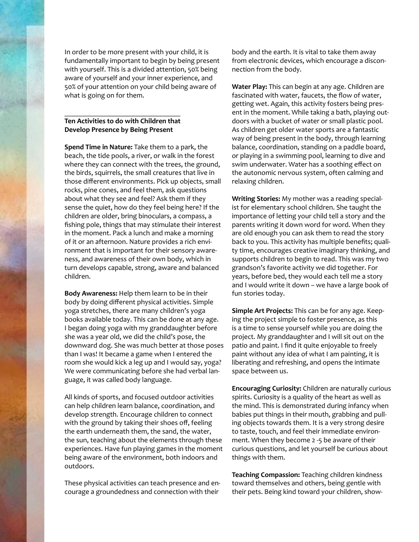In order to be more present with your child, it is fundamentally important to begin by being present with yourself. This is a divided attention, 50% being aware of yourself and your inner experience, and 50% of your attention on your child being aware of what is going on for them.

### \_\_\_\_\_\_\_\_\_\_\_\_\_\_\_\_\_\_\_\_\_\_\_\_\_\_\_\_\_\_\_\_ **Ten Activities to do with Children that Develop Presence by Being Present**

**Spend Time in Nature:** Take them to a park, the beach, the tide pools, a river, or walk in the forest where they can connect with the trees, the ground, the birds, squirrels, the small creatures that live in those different environments. Pick up objects, small rocks, pine cones, and feel them, ask questions about what they see and feel? Ask them if they sense the quiet, how do they feel being here? If the children are older, bring binoculars, a compass, a fishing pole, things that may stimulate their interest in the moment. Pack a lunch and make a morning of it or an afternoon. Nature provides a rich environment that is important for their sensory awareness, and awareness of their own body, which in turn develops capable, strong, aware and balanced children.

**Body Awareness:** Help them learn to be in their body by doing different physical activities. Simple yoga stretches, there are many children's yoga books available today. This can be done at any age. I began doing yoga with my granddaughter before she was a year old, we did the child's pose, the downward dog. She was much better at those poses than I was! It became a game when I entered the room she would kick a leg up and I would say, yoga? We were communicating before she had verbal language, it was called body language.

All kinds of sports, and focused outdoor activities can help children learn balance, coordination, and develop strength. Encourage children to connect with the ground by taking their shoes off, feeling the earth underneath them, the sand, the water, the sun, teaching about the elements through these experiences. Have fun playing games in the moment being aware of the environment, both indoors and outdoors.

These physical activities can teach presence and encourage a groundedness and connection with their

body and the earth. It is vital to take them away from electronic devices, which encourage a disconnection from the body.

**Water Play:** This can begin at any age. Children are fascinated with water, faucets, the flow of water, getting wet. Again, this activity fosters being present in the moment. While taking a bath, playing outdoors with a bucket of water or small plastic pool. As children get older water sports are a fantastic way of being present in the body, through learning balance, coordination, standing on a paddle board, or playing in a swimming pool, learning to dive and swim underwater. Water has a soothing effect on the autonomic nervous system, often calming and relaxing children.

**Writing Stories:** My mother was a reading specialist for elementary school children. She taught the importance of letting your child tell a story and the parents writing it down word for word. When they are old enough you can ask them to read the story back to you. This activity has multiple benefits; quality time, encourages creative imaginary thinking, and supports children to begin to read. This was my two grandson's favorite activity we did together. For years, before bed, they would each tell me a story and I would write it down – we have a large book of fun stories today.

**Simple Art Projects:** This can be for any age. Keeping the project simple to foster presence, as this is a time to sense yourself while you are doing the project. My granddaughter and I will sit out on the patio and paint. I find it quite enjoyable to freely paint without any idea of what I am painting, it is liberating and refreshing, and opens the intimate space between us.

**Encouraging Curiosity:** Children are naturally curious spirits. Curiosity is a quality of the heart as well as the mind. This is demonstrated during infancy when babies put things in their mouth, grabbing and pulling objects towards them. It is a very strong desire to taste, touch, and feel their immediate environment. When they become 2 -5 be aware of their curious questions, and let yourself be curious about things with them.

**Teaching Compassion:** Teaching children kindness toward themselves and others, being gentle with their pets. Being kind toward your children, show